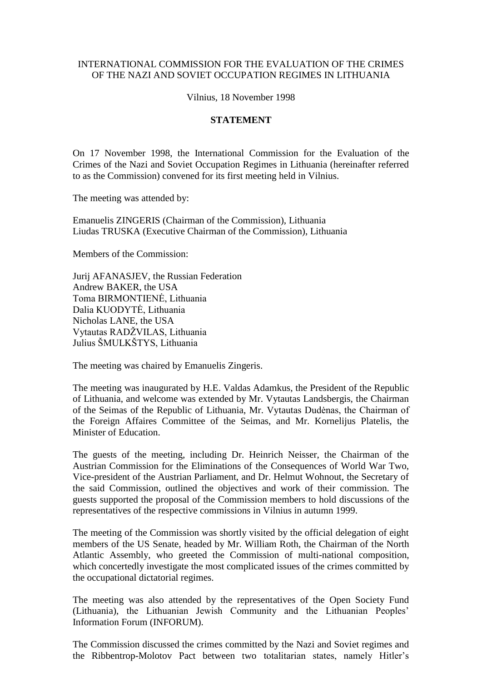## INTERNATIONAL COMMISSION FOR THE EVALUATION OF THE CRIMES OF THE NAZI AND SOVIET OCCUPATION REGIMES IN LITHUANIA

Vilnius, 18 November 1998

## **STATEMENT**

On 17 November 1998, the International Commission for the Evaluation of the Crimes of the Nazi and Soviet Occupation Regimes in Lithuania (hereinafter referred to as the Commission) convened for its first meeting held in Vilnius.

The meeting was attended by:

Emanuelis ZINGERIS (Chairman of the Commission), Lithuania Liudas TRUSKA (Executive Chairman of the Commission), Lithuania

Members of the Commission:

Jurij AFANASJEV, the Russian Federation Andrew BAKER, the USA Toma BIRMONTIENĖ, Lithuania Dalia KUODYTĖ, Lithuania Nicholas LANE, the USA Vytautas RADŽVILAS, Lithuania Julius ŠMULKŠTYS, Lithuania

The meeting was chaired by Emanuelis Zingeris.

The meeting was inaugurated by H.E. Valdas Adamkus, the President of the Republic of Lithuania, and welcome was extended by Mr. Vytautas Landsbergis, the Chairman of the Seimas of the Republic of Lithuania, Mr. Vytautas Dudėnas, the Chairman of the Foreign Affaires Committee of the Seimas, and Mr. Kornelijus Platelis, the Minister of Education.

The guests of the meeting, including Dr. Heinrich Neisser, the Chairman of the Austrian Commission for the Eliminations of the Consequences of World War Two, Vice-president of the Austrian Parliament, and Dr. Helmut Wohnout, the Secretary of the said Commission, outlined the objectives and work of their commission. The guests supported the proposal of the Commission members to hold discussions of the representatives of the respective commissions in Vilnius in autumn 1999.

The meeting of the Commission was shortly visited by the official delegation of eight members of the US Senate, headed by Mr. William Roth, the Chairman of the North Atlantic Assembly, who greeted the Commission of multi-national composition, which concertedly investigate the most complicated issues of the crimes committed by the occupational dictatorial regimes.

The meeting was also attended by the representatives of the Open Society Fund (Lithuania), the Lithuanian Jewish Community and the Lithuanian Peoples' Information Forum (INFORUM).

The Commission discussed the crimes committed by the Nazi and Soviet regimes and the Ribbentrop-Molotov Pact between two totalitarian states, namely Hitler's